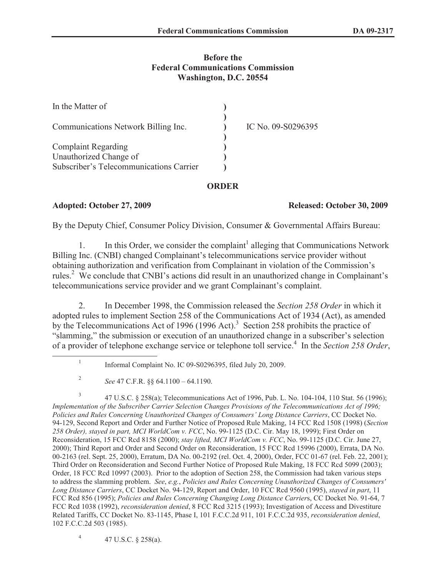## **Before the Federal Communications Commission Washington, D.C. 20554**

| In the Matter of                        |                    |
|-----------------------------------------|--------------------|
| Communications Network Billing Inc.     | IC No. 09-S0296395 |
| <b>Complaint Regarding</b>              |                    |
| Unauthorized Change of                  |                    |
| Subscriber's Telecommunications Carrier |                    |

## **ORDER**

## **Adopted: October 27, 2009 Released: October 30, 2009**

By the Deputy Chief, Consumer Policy Division, Consumer & Governmental Affairs Bureau:

1. In this Order, we consider the complaint<sup>1</sup> alleging that Communications Network Billing Inc. (CNBI) changed Complainant's telecommunications service provider without obtaining authorization and verification from Complainant in violation of the Commission's rules.<sup>2</sup> We conclude that CNBI's actions did result in an unauthorized change in Complainant's telecommunications service provider and we grant Complainant's complaint.

2. In December 1998, the Commission released the *Section 258 Order* in which it adopted rules to implement Section 258 of the Communications Act of 1934 (Act), as amended by the Telecommunications Act of 1996 (1996 Act).<sup>3</sup> Section 258 prohibits the practice of "slamming," the submission or execution of an unauthorized change in a subscriber's selection of a provider of telephone exchange service or telephone toll service.<sup>4</sup> In the Section 258 Order,

3 47 U.S.C. § 258(a); Telecommunications Act of 1996, Pub. L. No. 104-104, 110 Stat. 56 (1996); *Implementation of the Subscriber Carrier Selection Changes Provisions of the Telecommunications Act of 1996; Policies and Rules Concerning Unauthorized Changes of Consumers' Long Distance Carriers*, CC Docket No. 94-129, Second Report and Order and Further Notice of Proposed Rule Making, 14 FCC Rcd 1508 (1998) (*Section 258 Order), stayed in part, MCI WorldCom v. FCC*, No. 99-1125 (D.C. Cir. May 18, 1999); First Order on Reconsideration, 15 FCC Rcd 8158 (2000); *stay lifted, MCI WorldCom v. FCC*, No. 99-1125 (D.C. Cir. June 27, 2000); Third Report and Order and Second Order on Reconsideration, 15 FCC Rcd 15996 (2000), Errata, DA No. 00-2163 (rel. Sept. 25, 2000), Erratum, DA No. 00-2192 (rel. Oct. 4, 2000), Order, FCC 01-67 (rel. Feb. 22, 2001); Third Order on Reconsideration and Second Further Notice of Proposed Rule Making, 18 FCC Rcd 5099 (2003); Order, 18 FCC Rcd 10997 (2003). Prior to the adoption of Section 258, the Commission had taken various steps to address the slamming problem. *See*, *e.g.*, *Policies and Rules Concerning Unauthorized Changes of Consumers' Long Distance Carriers*, CC Docket No. 94-129, Report and Order, 10 FCC Rcd 9560 (1995), *stayed in part*, 11 FCC Rcd 856 (1995); *Policies and Rules Concerning Changing Long Distance Carrier*s, CC Docket No. 91-64, 7 FCC Rcd 1038 (1992), *reconsideration denied*, 8 FCC Rcd 3215 (1993); Investigation of Access and Divestiture Related Tariffs, CC Docket No. 83-1145, Phase I, 101 F.C.C.2d 911, 101 F.C.C.2d 935, *reconsideration denied*, 102 F.C.C.2d 503 (1985).

4 47 U.S.C. § 258(a).

<sup>1</sup> Informal Complaint No. IC 09-S0296395, filed July 20, 2009.

<sup>2</sup> *See* 47 C.F.R. §§ 64.1100 – 64.1190.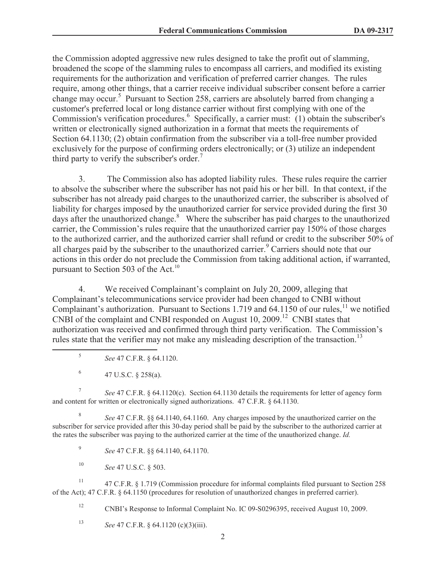the Commission adopted aggressive new rules designed to take the profit out of slamming, broadened the scope of the slamming rules to encompass all carriers, and modified its existing requirements for the authorization and verification of preferred carrier changes. The rules require, among other things, that a carrier receive individual subscriber consent before a carrier change may occur.<sup>5</sup> Pursuant to Section 258, carriers are absolutely barred from changing a customer's preferred local or long distance carrier without first complying with one of the Commission's verification procedures.<sup>6</sup> Specifically, a carrier must: (1) obtain the subscriber's written or electronically signed authorization in a format that meets the requirements of Section 64.1130; (2) obtain confirmation from the subscriber via a toll-free number provided exclusively for the purpose of confirming orders electronically; or (3) utilize an independent third party to verify the subscriber's order.<sup>7</sup>

3. The Commission also has adopted liability rules. These rules require the carrier to absolve the subscriber where the subscriber has not paid his or her bill. In that context, if the subscriber has not already paid charges to the unauthorized carrier, the subscriber is absolved of liability for charges imposed by the unauthorized carrier for service provided during the first 30 days after the unauthorized change.<sup>8</sup> Where the subscriber has paid charges to the unauthorized carrier, the Commission's rules require that the unauthorized carrier pay 150% of those charges to the authorized carrier, and the authorized carrier shall refund or credit to the subscriber 50% of all charges paid by the subscriber to the unauthorized carrier.<sup>9</sup> Carriers should note that our actions in this order do not preclude the Commission from taking additional action, if warranted, pursuant to Section 503 of the Act.<sup>10</sup>

4. We received Complainant's complaint on July 20, 2009, alleging that Complainant's telecommunications service provider had been changed to CNBI without Complainant's authorization. Pursuant to Sections 1.719 and 64.1150 of our rules,<sup>11</sup> we notified CNBI of the complaint and CNBI responded on August 10, 2009.<sup>12</sup> CNBI states that authorization was received and confirmed through third party verification. The Commission's rules state that the verifier may not make any misleading description of the transaction.<sup>13</sup>

- 5 *See* 47 C.F.R. § 64.1120.
- 6 47 U.S.C. § 258(a).

7 *See* 47 C.F.R. § 64.1120(c). Section 64.1130 details the requirements for letter of agency form and content for written or electronically signed authorizations. 47 C.F.R. § 64.1130.

8 *See* 47 C.F.R. §§ 64.1140, 64.1160. Any charges imposed by the unauthorized carrier on the subscriber for service provided after this 30-day period shall be paid by the subscriber to the authorized carrier at the rates the subscriber was paying to the authorized carrier at the time of the unauthorized change. *Id.*

9 *See* 47 C.F.R. §§ 64.1140, 64.1170.

<sup>10</sup> *See* 47 U.S.C. § 503.

<sup>11</sup> 47 C.F.R. § 1.719 (Commission procedure for informal complaints filed pursuant to Section 258 of the Act); 47 C.F.R. § 64.1150 (procedures for resolution of unauthorized changes in preferred carrier).

<sup>12</sup> CNBI's Response to Informal Complaint No. IC 09-S0296395, received August 10, 2009.

<sup>13</sup> *See* 47 C.F.R. § 64.1120 (c)(3)(iii).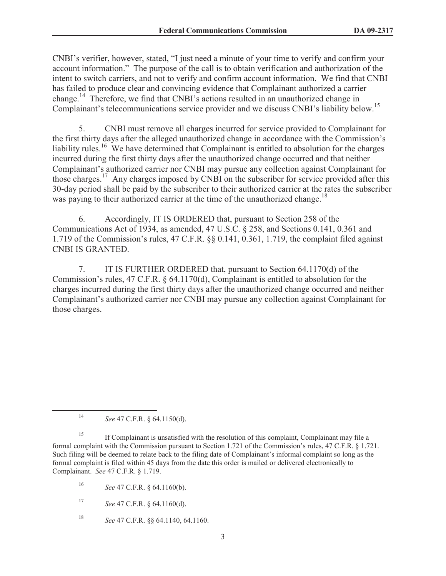CNBI's verifier, however, stated, "I just need a minute of your time to verify and confirm your account information." The purpose of the call is to obtain verification and authorization of the intent to switch carriers, and not to verify and confirm account information. We find that CNBI has failed to produce clear and convincing evidence that Complainant authorized a carrier change.<sup>14</sup> Therefore, we find that CNBI's actions resulted in an unauthorized change in Complainant's telecommunications service provider and we discuss CNBI's liability below.<sup>15</sup>

5. CNBI must remove all charges incurred for service provided to Complainant for the first thirty days after the alleged unauthorized change in accordance with the Commission's liability rules.<sup>16</sup> We have determined that Complainant is entitled to absolution for the charges incurred during the first thirty days after the unauthorized change occurred and that neither Complainant's authorized carrier nor CNBI may pursue any collection against Complainant for those charges.<sup>17</sup> Any charges imposed by CNBI on the subscriber for service provided after this 30-day period shall be paid by the subscriber to their authorized carrier at the rates the subscriber was paying to their authorized carrier at the time of the unauthorized change.<sup>18</sup>

6. Accordingly, IT IS ORDERED that, pursuant to Section 258 of the Communications Act of 1934, as amended, 47 U.S.C. § 258, and Sections 0.141, 0.361 and 1.719 of the Commission's rules, 47 C.F.R. §§ 0.141, 0.361, 1.719, the complaint filed against CNBI IS GRANTED.

7. IT IS FURTHER ORDERED that, pursuant to Section 64.1170(d) of the Commission's rules, 47 C.F.R. § 64.1170(d), Complainant is entitled to absolution for the charges incurred during the first thirty days after the unauthorized change occurred and neither Complainant's authorized carrier nor CNBI may pursue any collection against Complainant for those charges.

<sup>14</sup> *See* 47 C.F.R. § 64.1150(d).

<sup>&</sup>lt;sup>15</sup> If Complainant is unsatisfied with the resolution of this complaint, Complainant may file a formal complaint with the Commission pursuant to Section 1.721 of the Commission's rules, 47 C.F.R. § 1.721. Such filing will be deemed to relate back to the filing date of Complainant's informal complaint so long as the formal complaint is filed within 45 days from the date this order is mailed or delivered electronically to Complainant. *See* 47 C.F.R. § 1.719.

<sup>16</sup> *See* 47 C.F.R. § 64.1160(b).

<sup>17</sup> *See* 47 C.F.R. § 64.1160(d).

<sup>18</sup> *See* 47 C.F.R. §§ 64.1140, 64.1160.